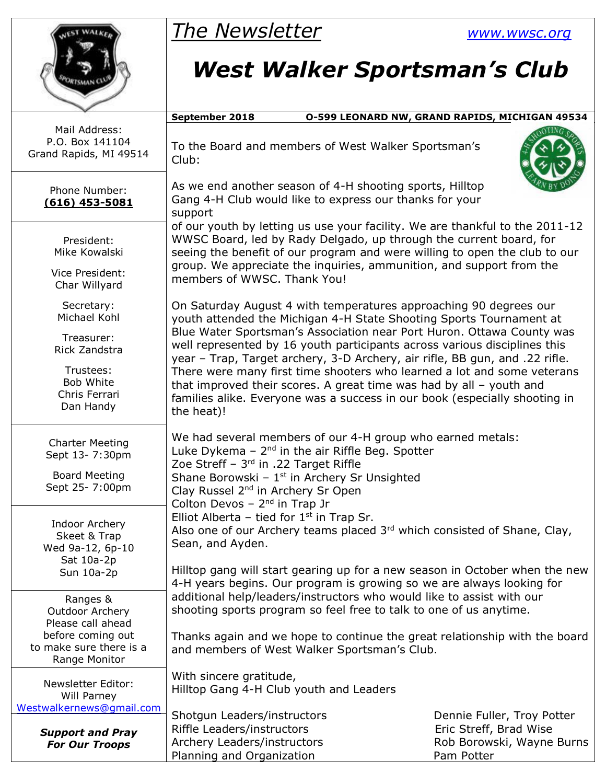

## *The Newsletter [www.wwsc.org](http://www.wwsc.org/)*

## *West Walker Sportsman's Club*

|                                                                                                                          | September 2018                                                                                                                                                                                                                                                                                                                                                                                                                                                                                                                                                                                                                | 0-599 LEONARD NW, GRAND RAPIDS, MICHIGAN 49534                                                  |  |  |  |  |  |
|--------------------------------------------------------------------------------------------------------------------------|-------------------------------------------------------------------------------------------------------------------------------------------------------------------------------------------------------------------------------------------------------------------------------------------------------------------------------------------------------------------------------------------------------------------------------------------------------------------------------------------------------------------------------------------------------------------------------------------------------------------------------|-------------------------------------------------------------------------------------------------|--|--|--|--|--|
| Mail Address:<br>P.O. Box 141104<br>Grand Rapids, MI 49514                                                               | To the Board and members of West Walker Sportsman's<br>Club:                                                                                                                                                                                                                                                                                                                                                                                                                                                                                                                                                                  |                                                                                                 |  |  |  |  |  |
| Phone Number:<br>$(616)$ 453-5081                                                                                        | As we end another season of 4-H shooting sports, Hilltop<br>Gang 4-H Club would like to express our thanks for your<br>support<br>of our youth by letting us use your facility. We are thankful to the 2011-12<br>WWSC Board, led by Rady Delgado, up through the current board, for<br>seeing the benefit of our program and were willing to open the club to our<br>group. We appreciate the inquiries, ammunition, and support from the<br>members of WWSC. Thank You!                                                                                                                                                     |                                                                                                 |  |  |  |  |  |
| President:<br>Mike Kowalski<br>Vice President:<br>Char Willyard                                                          |                                                                                                                                                                                                                                                                                                                                                                                                                                                                                                                                                                                                                               |                                                                                                 |  |  |  |  |  |
| Secretary:<br>Michael Kohl<br>Treasurer:<br>Rick Zandstra<br>Trustees:<br><b>Bob White</b><br>Chris Ferrari<br>Dan Handy | On Saturday August 4 with temperatures approaching 90 degrees our<br>youth attended the Michigan 4-H State Shooting Sports Tournament at<br>Blue Water Sportsman's Association near Port Huron. Ottawa County was<br>well represented by 16 youth participants across various disciplines this<br>year - Trap, Target archery, 3-D Archery, air rifle, BB gun, and .22 rifle.<br>There were many first time shooters who learned a lot and some veterans<br>that improved their scores. A great time was had by all $-$ youth and<br>families alike. Everyone was a success in our book (especially shooting in<br>the heat)! |                                                                                                 |  |  |  |  |  |
| <b>Charter Meeting</b><br>Sept 13- 7:30pm<br><b>Board Meeting</b><br>Sept 25- 7:00pm                                     | We had several members of our 4-H group who earned metals:<br>Luke Dykema $-2nd$ in the air Riffle Beg. Spotter<br>Zoe Streff - 3rd in .22 Target Riffle<br>Shane Borowski - $1st$ in Archery Sr Unsighted<br>Clay Russel 2 <sup>nd</sup> in Archery Sr Open<br>Colton Devos $-2^{nd}$ in Trap Jr                                                                                                                                                                                                                                                                                                                             |                                                                                                 |  |  |  |  |  |
| Indoor Archery<br>Skeet & Trap<br>Wed 9a-12, 6p-10<br>Sat 10a-2p<br>Sun 10a-2p                                           | Elliot Alberta - tied for $1st$ in Trap Sr.<br>Also one of our Archery teams placed 3rd which consisted of Shane, Clay,<br>Sean, and Ayden.<br>Hilltop gang will start gearing up for a new season in October when the new                                                                                                                                                                                                                                                                                                                                                                                                    |                                                                                                 |  |  |  |  |  |
| Ranges &<br>Outdoor Archery<br>Please call ahead                                                                         | 4-H years begins. Our program is growing so we are always looking for<br>additional help/leaders/instructors who would like to assist with our<br>shooting sports program so feel free to talk to one of us anytime.                                                                                                                                                                                                                                                                                                                                                                                                          |                                                                                                 |  |  |  |  |  |
| before coming out<br>to make sure there is a<br>Range Monitor                                                            | Thanks again and we hope to continue the great relationship with the board<br>and members of West Walker Sportsman's Club.                                                                                                                                                                                                                                                                                                                                                                                                                                                                                                    |                                                                                                 |  |  |  |  |  |
| Newsletter Editor:<br>Will Parney<br>Westwalkernews@gmail.com                                                            | With sincere gratitude,<br>Hilltop Gang 4-H Club youth and Leaders                                                                                                                                                                                                                                                                                                                                                                                                                                                                                                                                                            |                                                                                                 |  |  |  |  |  |
| <b>Support and Pray</b><br><b>For Our Troops</b>                                                                         | Shotgun Leaders/instructors<br>Riffle Leaders/instructors<br>Archery Leaders/instructors<br>Planning and Organization                                                                                                                                                                                                                                                                                                                                                                                                                                                                                                         | Dennie Fuller, Troy Potter<br>Eric Streff, Brad Wise<br>Rob Borowski, Wayne Burns<br>Pam Potter |  |  |  |  |  |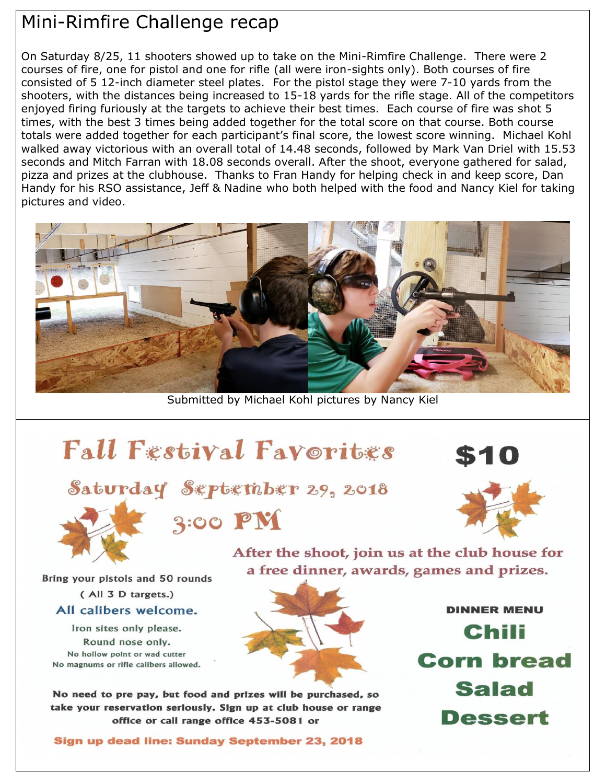### Mini-Rimfire Challenge recap

On Saturday 8/25, 11 shooters showed up to take on the Mini-Rimfire Challenge. There were 2 courses of fire, one for pistol and one for rifle (all were iron-sights only). Both courses of fire consisted of 5 12-inch diameter steel plates. For the pistol stage they were 7-10 yards from the shooters, with the distances being increased to 15-18 yards for the rifle stage. All of the competitors enjoyed firing furiously at the targets to achieve their best times. Each course of fire was shot 5 times, with the best 3 times being added together for the total score on that course. Both course totals were added together for each participant's final score, the lowest score winning. Michael Kohl walked away victorious with an overall total of 14.48 seconds, followed by Mark Van Driel with 15.53 seconds and Mitch Farran with 18.08 seconds overall. After the shoot, everyone gathered for salad, pizza and prizes at the clubhouse. Thanks to Fran Handy for helping check in and keep score, Dan Handy for his RSO assistance, Jeff & Nadine who both helped with the food and Nancy Kiel for taking pictures and video.



Submitted by Michael Kohl pictures by Nancy Kiel

# **Fall Festival Favorities**



Saturday September 29, 2018

### $3:00$  PM



After the shoot, join us at the club house for a free dinner, awards, games and prizes.

Bring your pistols and 50 rounds (All 3 D targets.) All calibers welcome.

Iron sites only please. Round nose only. No hollow point or wad cutter No magnums or rifle calibers allowed.



No need to pre pay, but food and prizes will be purchased, so take your reservation seriously. Sign up at club house or range office or call range office 453-5081 or

Sign up dead line: Sunday September 23, 2018

**DINNER MENU** Chili **Corn bread Salad** Dessert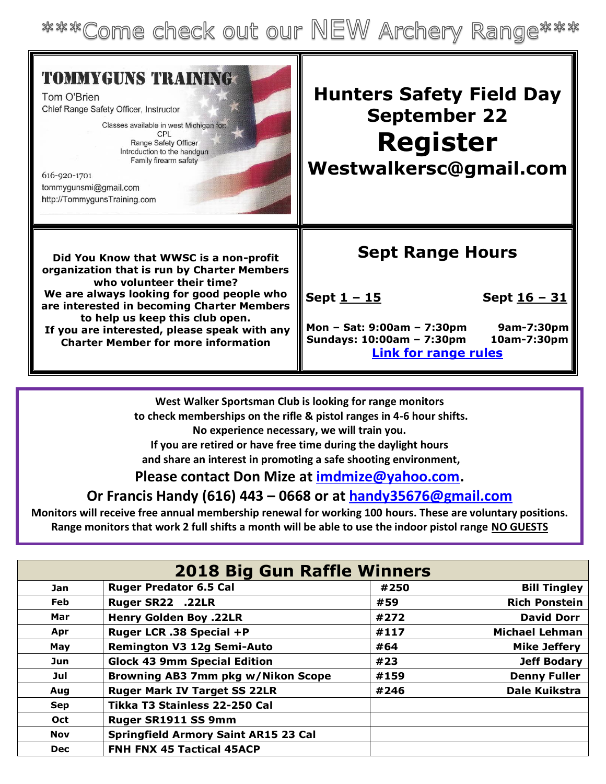\*\*\*Come check out our NEW Archery Range\*\*\*

| <b>TOMMYGUNS TRAINING</b><br>Tom O'Brien<br>Chief Range Safety Officer, Instructor<br>Classes available in west Michigan for:<br>CPL<br>Range Safety Officer<br>Introduction to the handgun<br>Family firearm safety<br>616-920-1701<br>tommygunsmi@gmail.com<br>http://TommygunsTraining.com | <b>Hunters Safety Field Day</b><br><b>September 22</b><br><b>Register</b><br>Westwalkersc@gmail.com |
|-----------------------------------------------------------------------------------------------------------------------------------------------------------------------------------------------------------------------------------------------------------------------------------------------|-----------------------------------------------------------------------------------------------------|
| Did You Know that WWSC is a non-profit                                                                                                                                                                                                                                                        | <b>Sept Range Hours</b>                                                                             |
| organization that is run by Charter Members                                                                                                                                                                                                                                                   | Sept <u>1 - 15</u>                                                                                  |
| who volunteer their time?                                                                                                                                                                                                                                                                     | Sept <u>16 - 31</u>                                                                                 |
| We are always looking for good people who                                                                                                                                                                                                                                                     | Mon - Sat: 9:00am - 7:30pm                                                                          |
| are interested in becoming Charter Members                                                                                                                                                                                                                                                    | 9am-7:30pm                                                                                          |
| to help us keep this club open.                                                                                                                                                                                                                                                               | Sundays: 10:00am - 7:30pm                                                                           |
| If you are interested, please speak with any                                                                                                                                                                                                                                                  | 10am-7:30pm                                                                                         |
| <b>Charter Member for more information</b>                                                                                                                                                                                                                                                    | <b>Link for range rules</b>                                                                         |

**West Walker Sportsman Club is looking for range monitors to check memberships on the rifle & pistol ranges in 4-6 hour shifts. No experience necessary, we will train you. If you are retired or have free time during the daylight hours and share an interest in promoting a safe shooting environment,**

#### **Please contact Don Mize at [imdmize@yahoo.com.](mailto:imdmize@yahoo.com)**

#### **Or Francis Handy (616) 443 – 0668 or at [handy35676@gmail.com](mailto:handy35676@gmail.com)**

**Monitors will receive free annual membership renewal for working 100 hours. These are voluntary positions. Range monitors that work 2 full shifts a month will be able to use the indoor pistol range NO GUESTS**

| <b>2018 Big Gun Raffle Winners</b> |                                             |      |                       |  |  |  |
|------------------------------------|---------------------------------------------|------|-----------------------|--|--|--|
| Jan                                | <b>Ruger Predator 6.5 Cal</b>               | #250 | <b>Bill Tingley</b>   |  |  |  |
| <b>Feb</b>                         | Ruger SR22 .22LR                            | #59  | <b>Rich Ponstein</b>  |  |  |  |
| Mar                                | <b>Henry Golden Boy .22LR</b>               | #272 | <b>David Dorr</b>     |  |  |  |
| Apr                                | Ruger LCR .38 Special +P                    | #117 | <b>Michael Lehman</b> |  |  |  |
| May                                | <b>Remington V3 12g Semi-Auto</b>           | #64  | <b>Mike Jeffery</b>   |  |  |  |
| Jun                                | <b>Glock 43 9mm Special Edition</b>         | #23  | <b>Jeff Bodary</b>    |  |  |  |
| Jul                                | Browning AB3 7mm pkg w/Nikon Scope          | #159 | <b>Denny Fuller</b>   |  |  |  |
| Aug                                | <b>Ruger Mark IV Target SS 22LR</b>         | #246 | Dale Kuikstra         |  |  |  |
| <b>Sep</b>                         | Tikka T3 Stainless 22-250 Cal               |      |                       |  |  |  |
| <b>Oct</b>                         | Ruger SR1911 SS 9mm                         |      |                       |  |  |  |
| <b>Nov</b>                         | <b>Springfield Armory Saint AR15 23 Cal</b> |      |                       |  |  |  |
| <b>Dec</b>                         | <b>FNH FNX 45 Tactical 45ACP</b>            |      |                       |  |  |  |